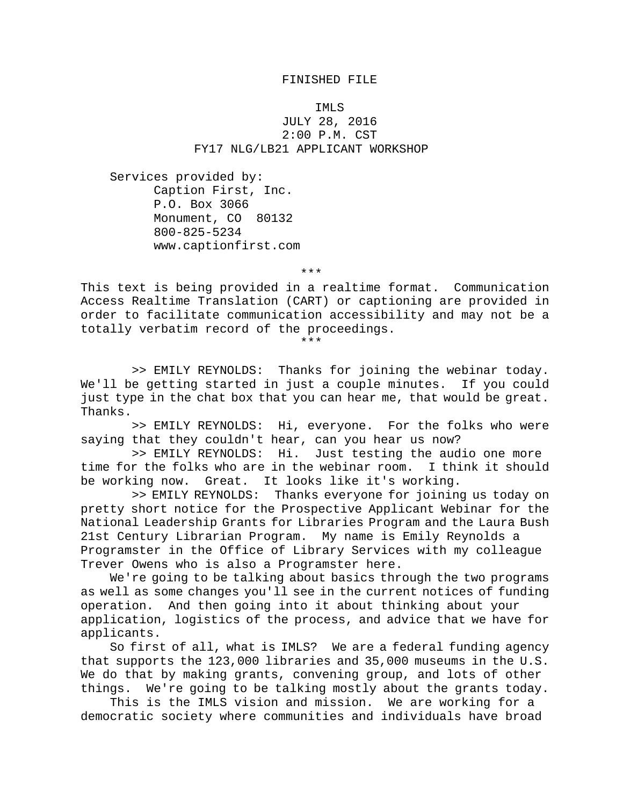## FINISHED FILE

## IMLS JULY 28, 2016 2:00 P.M. CST FY17 NLG/LB21 APPLICANT WORKSHOP

Services provided by: Caption First, Inc. P.O. Box 3066 Monument, CO 80132 800-825-5234 www.captionfirst.com

\*\*\*

This text is being provided in a realtime format. Communication Access Realtime Translation (CART) or captioning are provided in order to facilitate communication accessibility and may not be a totally verbatim record of the proceedings.

\*\*\*

 >> EMILY REYNOLDS: Thanks for joining the webinar today. We'll be getting started in just a couple minutes. If you could just type in the chat box that you can hear me, that would be great. Thanks.

 >> EMILY REYNOLDS: Hi, everyone. For the folks who were saying that they couldn't hear, can you hear us now?

>> EMILY REYNOLDS: Hi. Just testing the audio one more<br>r the folks who are in the webinar room. I think it should time for the folks who are in the webinar room. be working now. Great. It looks like it's working.

 >> EMILY REYNOLDS: Thanks everyone for joining us today on pretty short notice for the Prospective Applicant Webinar for the National Leadership Grants for Libraries Program and the Laura Bush 21st Century Librarian Program. My name is Emily Reynolds a Programster in the Office of Library Services with my colleague Trever Owens who is also a Programster here.

We're going to be talking about basics through the two programs as well as some changes you'll see in the current notices of funding operation. And then going into it about thinking about your application, logistics of the process, and advice that we have for applicants.

So first of all, what is IMLS? We are a federal funding agency that supports the 123,000 libraries and 35,000 museums in the U.S. We do that by making grants, convening group, and lots of other things. We're going to be talking mostly about the grants today.

This is the IMLS vision and mission. We are working for a democratic society where communities and individuals have broad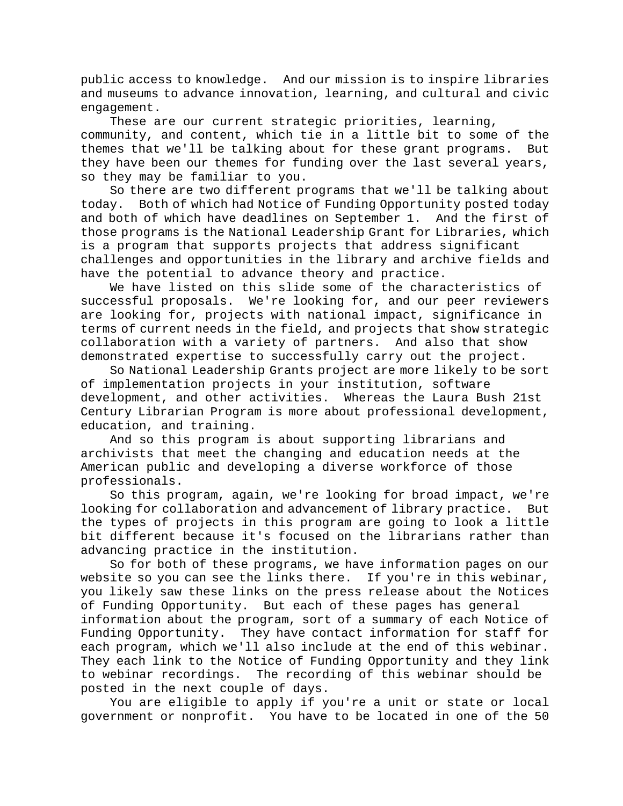public access to knowledge. And our mission is to inspire libraries and museums to advance innovation, learning, and cultural and civic engagement.

These are our current strategic priorities, learning, community, and content, which tie in a little bit to some of the themes that we'll be talking about for these grant programs. But they have been our themes for funding over the last several years, so they may be familiar to you.

So there are two different programs that we'll be talking about today. Both of which had Notice of Funding Opportunity posted today and both of which have deadlines on September 1. And the first of those programs is the National Leadership Grant for Libraries, which is a program that supports projects that address significant challenges and opportunities in the library and archive fields and have the potential to advance theory and practice.

We have listed on this slide some of the characteristics of successful proposals. We're looking for, and our peer reviewers are looking for, projects with national impact, significance in terms of current needs in the field, and projects that show strategic collaboration with a variety of partners. And also that show demonstrated expertise to successfully carry out the project.

So National Leadership Grants project are more likely to be sort of implementation projects in your institution, software development, and other activities. Whereas the Laura Bush 21st Century Librarian Program is more about professional development, education, and training.

And so this program is about supporting librarians and archivists that meet the changing and education needs at the American public and developing a diverse workforce of those professionals.

So this program, again, we're looking for broad impact, we're looking for collaboration and advancement of library practice. But the types of projects in this program are going to look a little bit different because it's focused on the librarians rather than advancing practice in the institution.

So for both of these programs, we have information pages on our website so you can see the links there. If you're in this webinar, you likely saw these links on the press release about the Notices of Funding Opportunity. But each of these pages has general information about the program, sort of a summary of each Notice of Funding Opportunity. They have contact information for staff for each program, which we'll also include at the end of this webinar. They each link to the Notice of Funding Opportunity and they link to webinar recordings. The recording of this webinar should be posted in the next couple of days.

You are eligible to apply if you're a unit or state or local government or nonprofit. You have to be located in one of the 50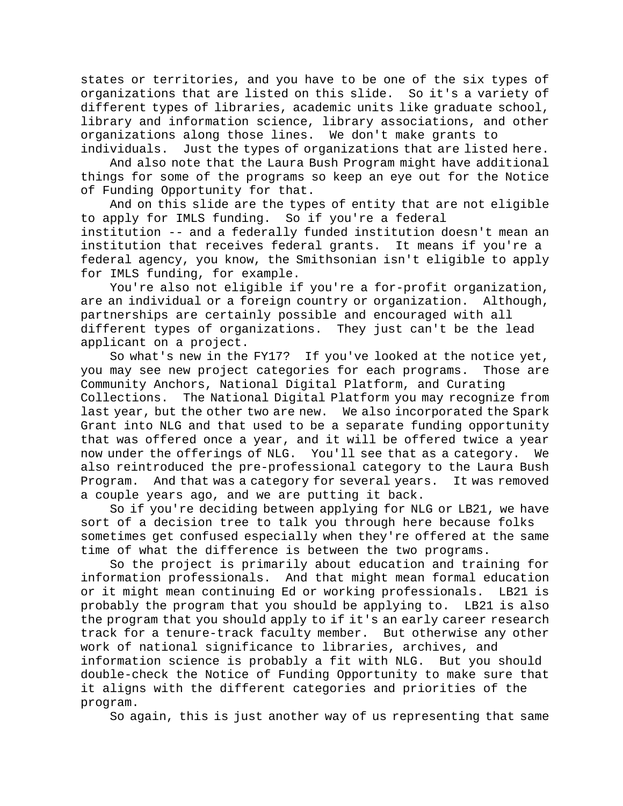states or territories, and you have to be one of the six types of organizations that are listed on this slide. So it's a variety of different types of libraries, academic units like graduate school, library and information science, library associations, and other organizations along those lines. We don't make grants to

individuals. Just the types of organizations that are listed here. And also note that the Laura Bush Program might have additional things for some of the programs so keep an eye out for the Notice of Funding Opportunity for that.

And on this slide are the types of entity that are not eligible to apply for IMLS funding. So if you're a federal institution -- and a federally funded institution doesn't mean an

institution that receives federal grants. It means if you're a federal agency, you know, the Smithsonian isn't eligible to apply for IMLS funding, for example.

You're also not eligible if you're a for-profit organization, are an individual or a foreign country or organization. Although, partnerships are certainly possible and encouraged with all different types of organizations. They just can't be the lead applicant on a project.

So what's new in the FY17? If you've looked at the notice yet, you may see new project categories for each programs. Those are Community Anchors, National Digital Platform, and Curating Collections. The National Digital Platform you may recognize from last year, but the other two are new. We also incorporated the Spark Grant into NLG and that used to be a separate funding opportunity that was offered once a year, and it will be offered twice a year now under the offerings of NLG. You'll see that as a category. We also reintroduced the pre-professional category to the Laura Bush Program. And that was a category for several years. It was removed a couple years ago, and we are putting it back.

So if you're deciding between applying for NLG or LB21, we have sort of a decision tree to talk you through here because folks sometimes get confused especially when they're offered at the same time of what the difference is between the two programs.

So the project is primarily about education and training for information professionals. And that might mean formal education or it might mean continuing Ed or working professionals. LB21 is probably the program that you should be applying to. LB21 is also the program that you should apply to if it's an early career research track for a tenure-track faculty member. But otherwise any other work of national significance to libraries, archives, and information science is probably a fit with NLG. But you should double-check the Notice of Funding Opportunity to make sure that it aligns with the different categories and priorities of the program.

So again, this is just another way of us representing that same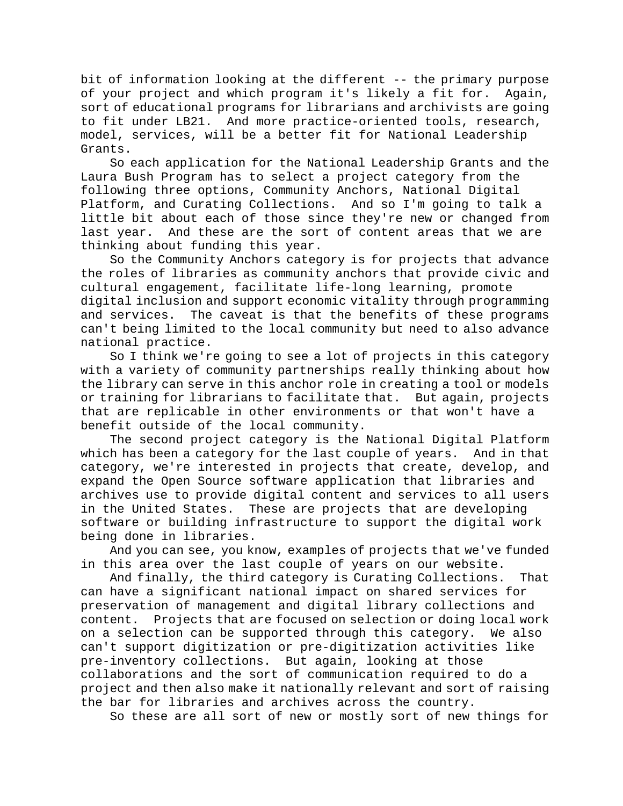bit of information looking at the different -- the primary purpose of your project and which program it's likely a fit for. Again, sort of educational programs for librarians and archivists are going to fit under LB21. And more practice-oriented tools, research, model, services, will be a better fit for National Leadership Grants.

So each application for the National Leadership Grants and the Laura Bush Program has to select a project category from the following three options, Community Anchors, National Digital Platform, and Curating Collections. And so I'm going to talk a little bit about each of those since they're new or changed from last year. And these are the sort of content areas that we are thinking about funding this year.

So the Community Anchors category is for projects that advance the roles of libraries as community anchors that provide civic and cultural engagement, facilitate life-long learning, promote digital inclusion and support economic vitality through programming and services. The caveat is that the benefits of these programs can't being limited to the local community but need to also advance national practice.

So I think we're going to see a lot of projects in this category with a variety of community partnerships really thinking about how the library can serve in this anchor role in creating a tool or models or training for librarians to facilitate that. But again, projects that are replicable in other environments or that won't have a benefit outside of the local community.

The second project category is the National Digital Platform which has been a category for the last couple of years. And in that category, we're interested in projects that create, develop, and expand the Open Source software application that libraries and archives use to provide digital content and services to all users in the United States. These are projects that are developing software or building infrastructure to support the digital work being done in libraries.

And you can see, you know, examples of projects that we've funded in this area over the last couple of years on our website.

And finally, the third category is Curating Collections. That can have a significant national impact on shared services for preservation of management and digital library collections and content. Projects that are focused on selection or doing local work on a selection can be supported through this category. We also can't support digitization or pre-digitization activities like pre-inventory collections. But again, looking at those collaborations and the sort of communication required to do a project and then also make it nationally relevant and sort of raising the bar for libraries and archives across the country.

So these are all sort of new or mostly sort of new things for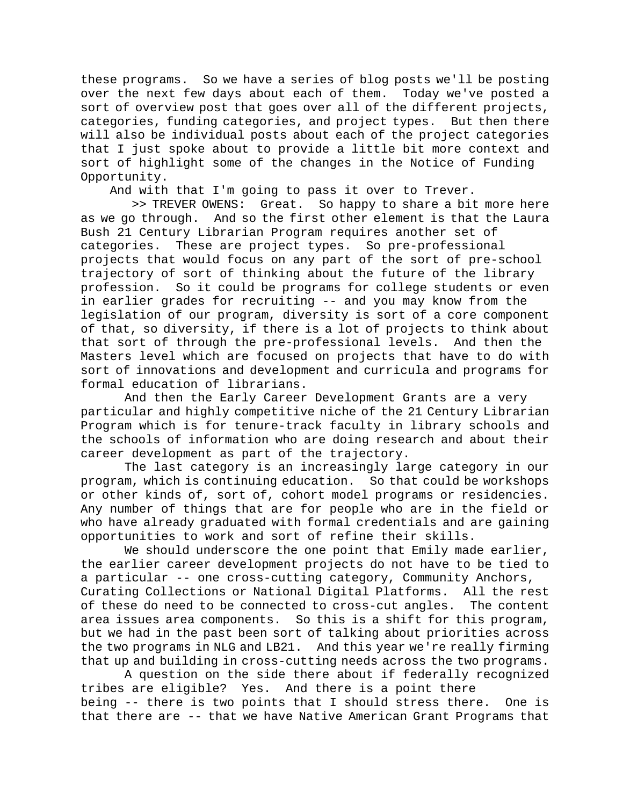these programs. So we have a series of blog posts we'll be posting over the next few days about each of them. Today we've posted a sort of overview post that goes over all of the different projects, categories, funding categories, and project types. But then there will also be individual posts about each of the project categories that I just spoke about to provide a little bit more context and sort of highlight some of the changes in the Notice of Funding Opportunity.

And with that I'm going to pass it over to Trever.

 >> TREVER OWENS: Great. So happy to share a bit more here as we go through. And so the first other element is that the Laura Bush 21 Century Librarian Program requires another set of categories. These are project types. So pre-professional These are project types. So pre-professional projects that would focus on any part of the sort of pre-school trajectory of sort of thinking about the future of the library profession. So it could be programs for college students or even in earlier grades for recruiting -- and you may know from the legislation of our program, diversity is sort of a core component of that, so diversity, if there is a lot of projects to think about that sort of through the pre-professional levels. And then the Masters level which are focused on projects that have to do with sort of innovations and development and curricula and programs for formal education of librarians.

And then the Early Career Development Grants are a very particular and highly competitive niche of the 21 Century Librarian Program which is for tenure-track faculty in library schools and the schools of information who are doing research and about their career development as part of the trajectory.

The last category is an increasingly large category in our program, which is continuing education. So that could be workshops or other kinds of, sort of, cohort model programs or residencies. Any number of things that are for people who are in the field or who have already graduated with formal credentials and are gaining opportunities to work and sort of refine their skills.

We should underscore the one point that Emily made earlier, the earlier career development projects do not have to be tied to a particular -- one cross-cutting category, Community Anchors, Curating Collections or National Digital Platforms. All the rest of these do need to be connected to cross-cut angles. The content area issues area components. So this is a shift for this program, but we had in the past been sort of talking about priorities across the two programs in NLG and LB21. And this year we're really firming that up and building in cross-cutting needs across the two programs.

A question on the side there about if federally recognized tribes are eligible? Yes. And there is a point there being -- there is two points that I should stress there. One is that there are -- that we have Native American Grant Programs that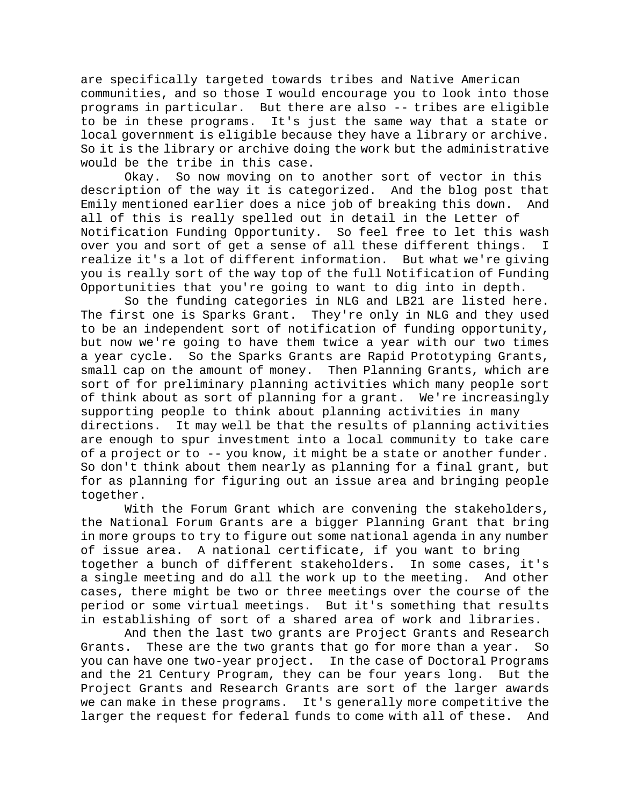are specifically targeted towards tribes and Native American communities, and so those I would encourage you to look into those programs in particular. But there are also -- tribes are eligible to be in these programs. It's just the same way that a state or local government is eligible because they have a library or archive. So it is the library or archive doing the work but the administrative would be the tribe in this case.

Okay. So now moving on to another sort of vector in this description of the way it is categorized. And the blog post that Emily mentioned earlier does a nice job of breaking this down. And all of this is really spelled out in detail in the Letter of Notification Funding Opportunity. So feel free to let this wash over you and sort of get a sense of all these different things. I realize it's a lot of different information. But what we're giving you is really sort of the way top of the full Notification of Funding Opportunities that you're going to want to dig into in depth.

So the funding categories in NLG and LB21 are listed here. The first one is Sparks Grant. They're only in NLG and they used to be an independent sort of notification of funding opportunity, but now we're going to have them twice a year with our two times a year cycle. So the Sparks Grants are Rapid Prototyping Grants, small cap on the amount of money. Then Planning Grants, which are sort of for preliminary planning activities which many people sort of think about as sort of planning for a grant. We're increasingly supporting people to think about planning activities in many directions. It may well be that the results of planning activities are enough to spur investment into a local community to take care of a project or to -- you know, it might be a state or another funder. So don't think about them nearly as planning for a final grant, but for as planning for figuring out an issue area and bringing people together.

With the Forum Grant which are convening the stakeholders, the National Forum Grants are a bigger Planning Grant that bring in more groups to try to figure out some national agenda in any number of issue area. A national certificate, if you want to bring together a bunch of different stakeholders. In some cases, it's a single meeting and do all the work up to the meeting. And other cases, there might be two or three meetings over the course of the period or some virtual meetings. But it's something that results in establishing of sort of a shared area of work and libraries.

And then the last two grants are Project Grants and Research Grants. These are the two grants that go for more than a year. So you can have one two-year project. In the case of Doctoral Programs and the 21 Century Program, they can be four years long. But the Project Grants and Research Grants are sort of the larger awards we can make in these programs. It's generally more competitive the larger the request for federal funds to come with all of these. And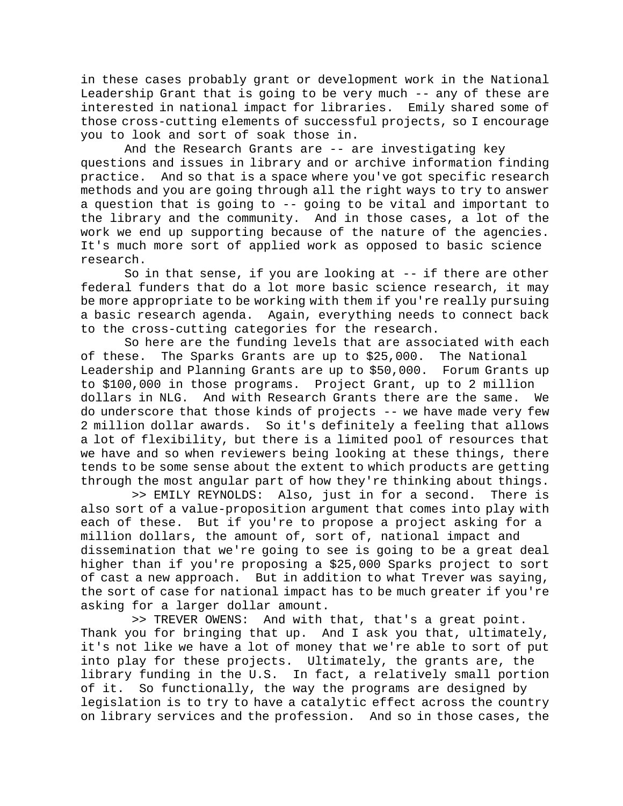in these cases probably grant or development work in the National Leadership Grant that is going to be very much -- any of these are interested in national impact for libraries. Emily shared some of those cross-cutting elements of successful projects, so I encourage you to look and sort of soak those in.

And the Research Grants are -- are investigating key questions and issues in library and or archive information finding practice. And so that is a space where you've got specific research methods and you are going through all the right ways to try to answer a question that is going to -- going to be vital and important to the library and the community. And in those cases, a lot of the work we end up supporting because of the nature of the agencies. It's much more sort of applied work as opposed to basic science research.

So in that sense, if you are looking at -- if there are other federal funders that do a lot more basic science research, it may be more appropriate to be working with them if you're really pursuing a basic research agenda. Again, everything needs to connect back to the cross-cutting categories for the research.

So here are the funding levels that are associated with each of these. The Sparks Grants are up to \$25,000. The National Leadership and Planning Grants are up to \$50,000. Forum Grants up to \$100,000 in those programs. Project Grant, up to 2 million And with Research Grants there are the same. We do underscore that those kinds of projects -- we have made very few 2 million dollar awards. So it's definitely a feeling that allows a lot of flexibility, but there is a limited pool of resources that we have and so when reviewers being looking at these things, there tends to be some sense about the extent to which products are getting through the most angular part of how they're thinking about things.

 >> EMILY REYNOLDS: Also, just in for a second. There is also sort of a value-proposition argument that comes into play with each of these. But if you're to propose a project asking for a million dollars, the amount of, sort of, national impact and dissemination that we're going to see is going to be a great deal higher than if you're proposing a \$25,000 Sparks project to sort of cast a new approach. But in addition to what Trever was saying, the sort of case for national impact has to be much greater if you're asking for a larger dollar amount.

 >> TREVER OWENS: And with that, that's a great point. Thank you for bringing that up. And I ask you that, ultimately, it's not like we have a lot of money that we're able to sort of put into play for these projects. Ultimately, the grants are, the library funding in the U.S. In fact, a relatively small portion of it. So functionally, the way the programs are designed by legislation is to try to have a catalytic effect across the country on library services and the profession. And so in those cases, the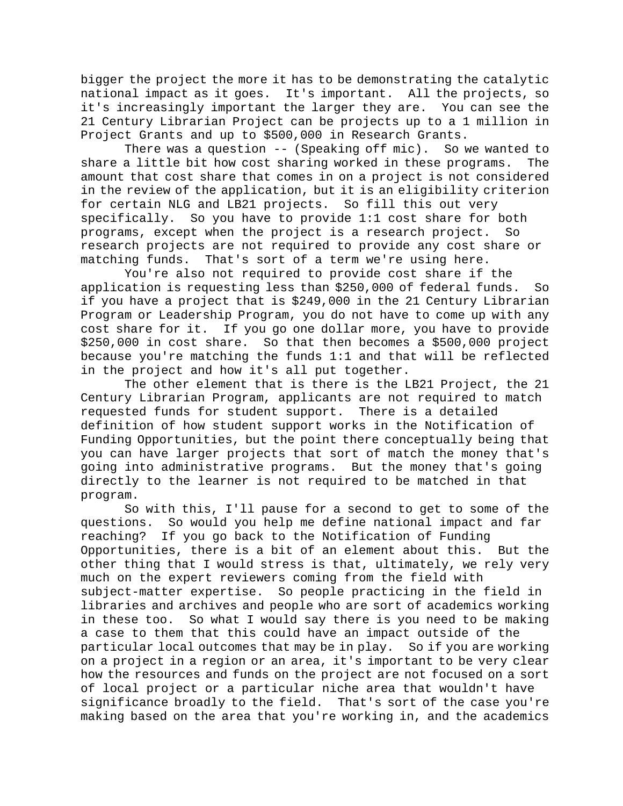bigger the project the more it has to be demonstrating the catalytic national impact as it goes. It's important. All the projects, so it's increasingly important the larger they are. You can see the 21 Century Librarian Project can be projects up to a 1 million in Project Grants and up to \$500,000 in Research Grants.

There was a question -- (Speaking off mic). So we wanted to share a little bit how cost sharing worked in these programs. The amount that cost share that comes in on a project is not considered in the review of the application, but it is an eligibility criterion for certain NLG and LB21 projects. So fill this out very specifically. So you have to provide 1:1 cost share for both programs, except when the project is a research project. So research projects are not required to provide any cost share or matching funds. That's sort of a term we're using here.

You're also not required to provide cost share if the application is requesting less than \$250,000 of federal funds. So if you have a project that is \$249,000 in the 21 Century Librarian Program or Leadership Program, you do not have to come up with any cost share for it. If you go one dollar more, you have to provide \$250,000 in cost share. So that then becomes a \$500,000 project because you're matching the funds 1:1 and that will be reflected in the project and how it's all put together.

The other element that is there is the LB21 Project, the 21 Century Librarian Program, applicants are not required to match requested funds for student support. There is a detailed definition of how student support works in the Notification of Funding Opportunities, but the point there conceptually being that you can have larger projects that sort of match the money that's going into administrative programs. But the money that's going directly to the learner is not required to be matched in that program.

So with this, I'll pause for a second to get to some of the questions. So would you help me define national impact and far reaching? If you go back to the Notification of Funding Opportunities, there is a bit of an element about this. But the other thing that I would stress is that, ultimately, we rely very much on the expert reviewers coming from the field with subject-matter expertise. So people practicing in the field in libraries and archives and people who are sort of academics working in these too. So what I would say there is you need to be making a case to them that this could have an impact outside of the particular local outcomes that may be in play. So if you are working on a project in a region or an area, it's important to be very clear how the resources and funds on the project are not focused on a sort of local project or a particular niche area that wouldn't have significance broadly to the field. That's sort of the case you're making based on the area that you're working in, and the academics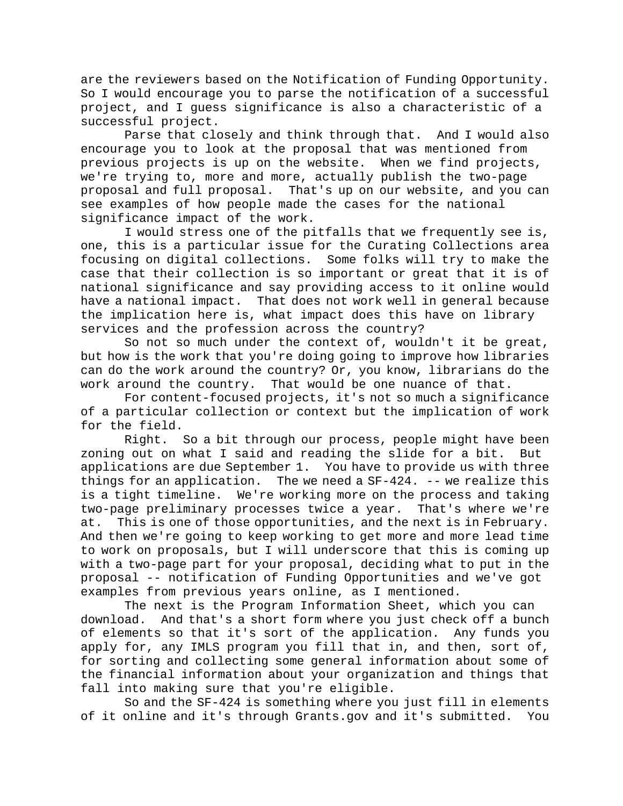are the reviewers based on the Notification of Funding Opportunity. So I would encourage you to parse the notification of a successful project, and I guess significance is also a characteristic of a successful project.

Parse that closely and think through that. And I would also encourage you to look at the proposal that was mentioned from previous projects is up on the website. When we find projects, we're trying to, more and more, actually publish the two-page proposal and full proposal. That's up on our website, and you can see examples of how people made the cases for the national significance impact of the work.

I would stress one of the pitfalls that we frequently see is, one, this is a particular issue for the Curating Collections area focusing on digital collections. Some folks will try to make the case that their collection is so important or great that it is of national significance and say providing access to it online would have a national impact. That does not work well in general because the implication here is, what impact does this have on library services and the profession across the country?

So not so much under the context of, wouldn't it be great, but how is the work that you're doing going to improve how libraries can do the work around the country? Or, you know, librarians do the work around the country. That would be one nuance of that.

For content-focused projects, it's not so much a significance of a particular collection or context but the implication of work for the field.<br>Right.

So a bit through our process, people might have been zoning out on what I said and reading the slide for a bit. But applications are due September 1. You have to provide us with three things for an application. The we need a  $SF-424$ . -- we realize this is a tight timeline. We're working more on the process and taking two-page preliminary processes twice a year. That's where we're at. This is one of those opportunities, and the next is in February. And then we're going to keep working to get more and more lead time to work on proposals, but I will underscore that this is coming up with a two-page part for your proposal, deciding what to put in the proposal -- notification of Funding Opportunities and we've got examples from previous years online, as I mentioned.

The next is the Program Information Sheet, which you can download. And that's a short form where you just check off a bunch of elements so that it's sort of the application. Any funds you apply for, any IMLS program you fill that in, and then, sort of, for sorting and collecting some general information about some of the financial information about your organization and things that fall into making sure that you're eligible.

So and the SF-424 is something where you just fill in elements of it online and it's through Grants.gov and it's submitted. You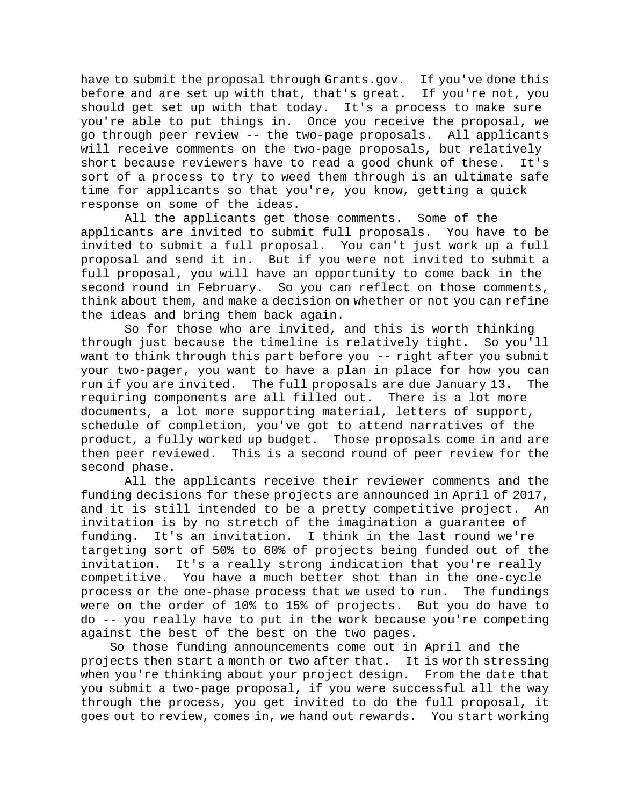have to submit the proposal through Grants.gov. If you've done this before and are set up with that, that's great. If you're not, you should get set up with that today. It's a process to make sure you're able to put things in. Once you receive the proposal, we go through peer review -- the two-page proposals. All applicants will receive comments on the two-page proposals, but relatively short because reviewers have to read a good chunk of these. It's sort of a process to try to weed them through is an ultimate safe time for applicants so that you're, you know, getting a quick response on some of the ideas.

All the applicants get those comments. Some of the applicants are invited to submit full proposals. You have to be invited to submit a full proposal. You can't just work up a full proposal and send it in. But if you were not invited to submit a full proposal, you will have an opportunity to come back in the second round in February. So you can reflect on those comments, think about them, and make a decision on whether or not you can refine the ideas and bring them back again.

So for those who are invited, and this is worth thinking through just because the timeline is relatively tight. So you'll want to think through this part before you -- right after you submit your two-pager, you want to have a plan in place for how you can run if you are invited. The full proposals are due January 13. The requiring components are all filled out. There is a lot more documents, a lot more supporting material, letters of support, schedule of completion, you've got to attend narratives of the product, a fully worked up budget. Those proposals come in and are then peer reviewed. This is a second round of peer review for the second phase.

All the applicants receive their reviewer comments and the funding decisions for these projects are announced in April of 2017, and it is still intended to be a pretty competitive project. An invitation is by no stretch of the imagination a guarantee of funding. It's an invitation. I think in the last round we're targeting sort of 50% to 60% of projects being funded out of the invitation. It's a really strong indication that you're really competitive. You have a much better shot than in the one-cycle process or the one-phase process that we used to run. The fundings were on the order of 10% to 15% of projects. But you do have to do -- you really have to put in the work because you're competing against the best of the best on the two pages.

So those funding announcements come out in April and the projects then start a month or two after that. It is worth stressing when you're thinking about your project design. From the date that you submit a two-page proposal, if you were successful all the way through the process, you get invited to do the full proposal, it goes out to review, comes in, we hand out rewards. You start working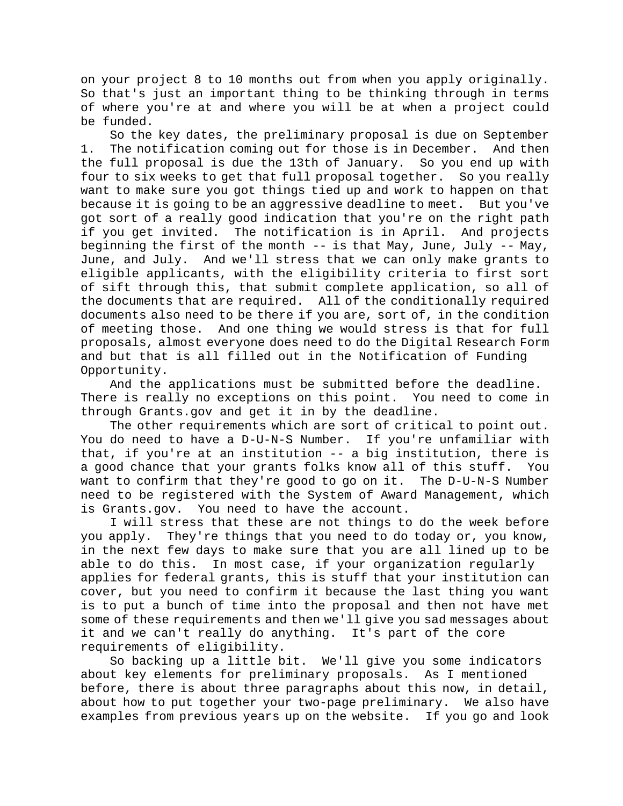on your project 8 to 10 months out from when you apply originally. So that's just an important thing to be thinking through in terms of where you're at and where you will be at when a project could be funded.

So the key dates, the preliminary proposal is due on September 1. The notification coming out for those is in December. And then the full proposal is due the 13th of January. So you end up with four to six weeks to get that full proposal together. So you really want to make sure you got things tied up and work to happen on that because it is going to be an aggressive deadline to meet. But you've got sort of a really good indication that you're on the right path if you get invited. The notification is in April. And projects beginning the first of the month -- is that May, June, July -- May, June, and July. And we'll stress that we can only make grants to eligible applicants, with the eligibility criteria to first sort of sift through this, that submit complete application, so all of the documents that are required. All of the conditionally required documents also need to be there if you are, sort of, in the condition of meeting those. And one thing we would stress is that for full proposals, almost everyone does need to do the Digital Research Form and but that is all filled out in the Notification of Funding Opportunity.

And the applications must be submitted before the deadline. There is really no exceptions on this point. You need to come in through Grants.gov and get it in by the deadline.

The other requirements which are sort of critical to point out. You do need to have a D-U-N-S Number. If you're unfamiliar with that, if you're at an institution -- a big institution, there is a good chance that your grants folks know all of this stuff. You want to confirm that they're good to go on it. The D-U-N-S Number need to be registered with the System of Award Management, which is Grants.gov. You need to have the account.

I will stress that these are not things to do the week before you apply. They're things that you need to do today or, you know, in the next few days to make sure that you are all lined up to be able to do this. In most case, if your organization regularly applies for federal grants, this is stuff that your institution can cover, but you need to confirm it because the last thing you want is to put a bunch of time into the proposal and then not have met some of these requirements and then we'll give you sad messages about it and we can't really do anything. It's part of the core requirements of eligibility.

So backing up a little bit. We'll give you some indicators about key elements for preliminary proposals. As I mentioned before, there is about three paragraphs about this now, in detail, about how to put together your two-page preliminary. We also have examples from previous years up on the website. If you go and look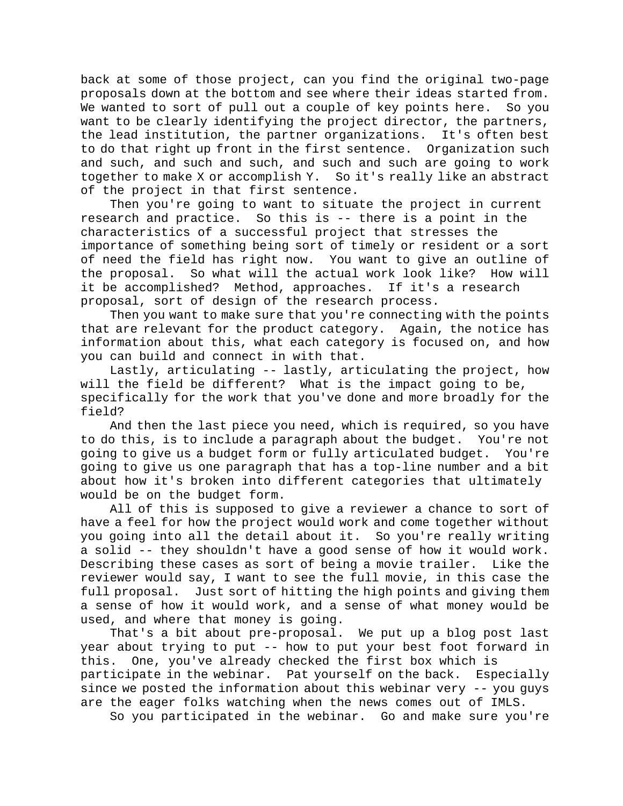back at some of those project, can you find the original two-page proposals down at the bottom and see where their ideas started from. We wanted to sort of pull out a couple of key points here. So you want to be clearly identifying the project director, the partners,<br>the lead institution, the partner organizations. It's often best the lead institution, the partner organizations. to do that right up front in the first sentence. Organization such and such, and such and such, and such and such are going to work together to make X or accomplish Y. So it's really like an abstract of the project in that first sentence.

Then you're going to want to situate the project in current research and practice. So this is -- there is a point in the characteristics of a successful project that stresses the importance of something being sort of timely or resident or a sort of need the field has right now. You want to give an outline of the proposal. So what will the actual work look like? How will it be accomplished? Method, approaches. If it's a research proposal, sort of design of the research process.

Then you want to make sure that you're connecting with the points that are relevant for the product category. Again, the notice has information about this, what each category is focused on, and how you can build and connect in with that.

Lastly, articulating -- lastly, articulating the project, how will the field be different? What is the impact going to be, specifically for the work that you've done and more broadly for the field?

And then the last piece you need, which is required, so you have to do this, is to include a paragraph about the budget. You're not going to give us a budget form or fully articulated budget. You're going to give us one paragraph that has a top-line number and a bit about how it's broken into different categories that ultimately would be on the budget form.

All of this is supposed to give a reviewer a chance to sort of have a feel for how the project would work and come together without you going into all the detail about it. So you're really writing a solid -- they shouldn't have a good sense of how it would work.<br>Describing these cases as sort of being a movie trailer. Like the Describing these cases as sort of being a movie trailer. reviewer would say, I want to see the full movie, in this case the full proposal. Just sort of hitting the high points and giving them a sense of how it would work, and a sense of what money would be used, and where that money is going.

That's a bit about pre-proposal. We put up a blog post last year about trying to put -- how to put your best foot forward in this. One, you've already checked the first box which is participate in the webinar. Pat yourself on the back. Especially since we posted the information about this webinar very -- you guys are the eager folks watching when the news comes out of IMLS.

So you participated in the webinar. Go and make sure you're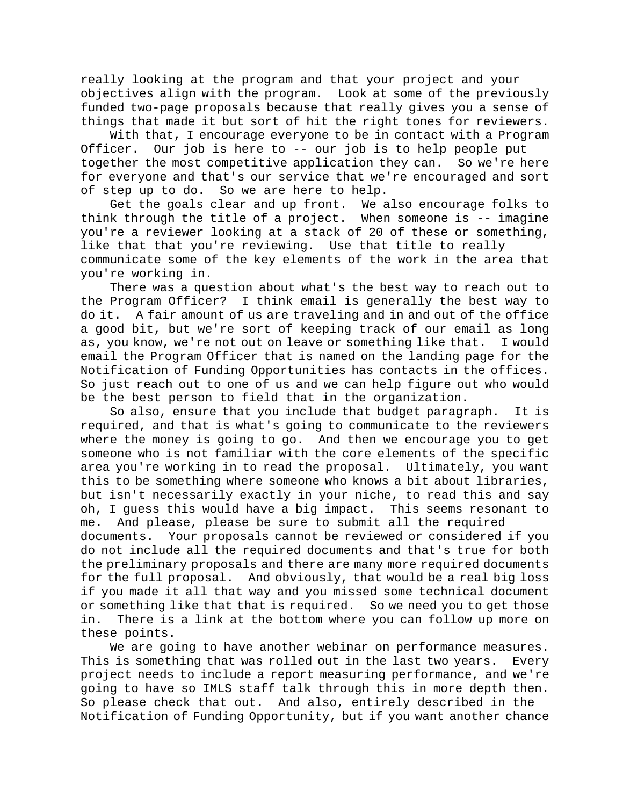really looking at the program and that your project and your objectives align with the program. Look at some of the previously funded two-page proposals because that really gives you a sense of things that made it but sort of hit the right tones for reviewers.

With that, I encourage everyone to be in contact with a Program Officer. Our job is here to -- our job is to help people put together the most competitive application they can. So we're here for everyone and that's our service that we're encouraged and sort of step up to do. So we are here to help.

Get the goals clear and up front. We also encourage folks to think through the title of a project. When someone is -- imagine you're a reviewer looking at a stack of 20 of these or something, like that that you're reviewing. Use that title to really communicate some of the key elements of the work in the area that you're working in.

There was a question about what's the best way to reach out to the Program Officer? I think email is generally the best way to do it. A fair amount of us are traveling and in and out of the office a good bit, but we're sort of keeping track of our email as long as, you know, we're not out on leave or something like that. I would email the Program Officer that is named on the landing page for the Notification of Funding Opportunities has contacts in the offices. So just reach out to one of us and we can help figure out who would be the best person to field that in the organization.

So also, ensure that you include that budget paragraph. It is required, and that is what's going to communicate to the reviewers where the money is going to go. And then we encourage you to get someone who is not familiar with the core elements of the specific area you're working in to read the proposal. Ultimately, you want this to be something where someone who knows a bit about libraries, but isn't necessarily exactly in your niche, to read this and say oh, I guess this would have a big impact. This seems resonant to me. And please, please be sure to submit all the required Your proposals cannot be reviewed or considered if you do not include all the required documents and that's true for both the preliminary proposals and there are many more required documents for the full proposal. And obviously, that would be a real big loss if you made it all that way and you missed some technical document or something like that that is required. So we need you to get those in. There is a link at the bottom where you can follow up more on these points.

We are going to have another webinar on performance measures. This is something that was rolled out in the last two years. Every project needs to include a report measuring performance, and we're going to have so IMLS staff talk through this in more depth then. So please check that out. And also, entirely described in the Notification of Funding Opportunity, but if you want another chance